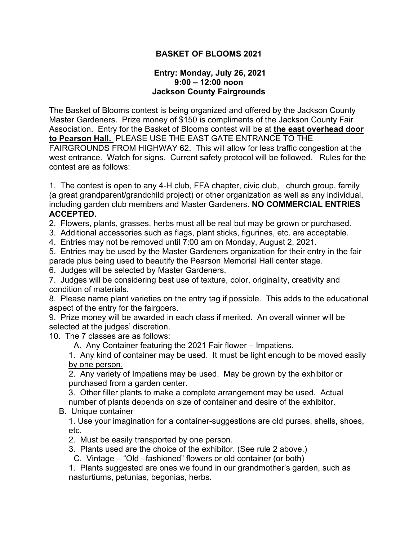## **BASKET OF BLOOMS 2021**

## **Entry: Monday, July 26, 2021 9:00 – 12:00 noon Jackson County Fairgrounds**

The Basket of Blooms contest is being organized and offered by the Jackson County Master Gardeners. Prize money of \$150 is compliments of the Jackson County Fair Association. Entry for the Basket of Blooms contest will be at **the east overhead door to Pearson Hall.** PLEASE USE THE EAST GATE ENTRANCE TO THE FAIRGROUNDS FROM HIGHWAY 62. This will allow for less traffic congestion at the west entrance. Watch for signs. Current safety protocol will be followed. Rules for the contest are as follows:

1. The contest is open to any 4-H club, FFA chapter, civic club, church group, family (a great grandparent/grandchild project) or other organization as well as any individual, including garden club members and Master Gardeners. **NO COMMERCIAL ENTRIES ACCEPTED.**

2. Flowers, plants, grasses, herbs must all be real but may be grown or purchased.

3. Additional accessories such as flags, plant sticks, figurines, etc. are acceptable.

4. Entries may not be removed until 7:00 am on Monday, August 2, 2021.

5. Entries may be used by the Master Gardeners organization for their entry in the fair parade plus being used to beautify the Pearson Memorial Hall center stage.

6. Judges will be selected by Master Gardeners.

7. Judges will be considering best use of texture, color, originality, creativity and condition of materials.

8. Please name plant varieties on the entry tag if possible. This adds to the educational aspect of the entry for the fairgoers.

9. Prize money will be awarded in each class if merited. An overall winner will be selected at the judges' discretion.

10. The 7 classes are as follows:

A. Any Container featuring the 2021 Fair flower – Impatiens.

1. Any kind of container may be used. It must be light enough to be moved easily by one person.

2. Any variety of Impatiens may be used. May be grown by the exhibitor or purchased from a garden center.

3. Other filler plants to make a complete arrangement may be used. Actual number of plants depends on size of container and desire of the exhibitor.

B. Unique container

1. Use your imagination for a container-suggestions are old purses, shells, shoes, etc.

2. Must be easily transported by one person.

3. Plants used are the choice of the exhibitor. (See rule 2 above.)

C. Vintage – "Old –fashioned" flowers or old container (or both)

1. Plants suggested are ones we found in our grandmother's garden, such as nasturtiums, petunias, begonias, herbs.